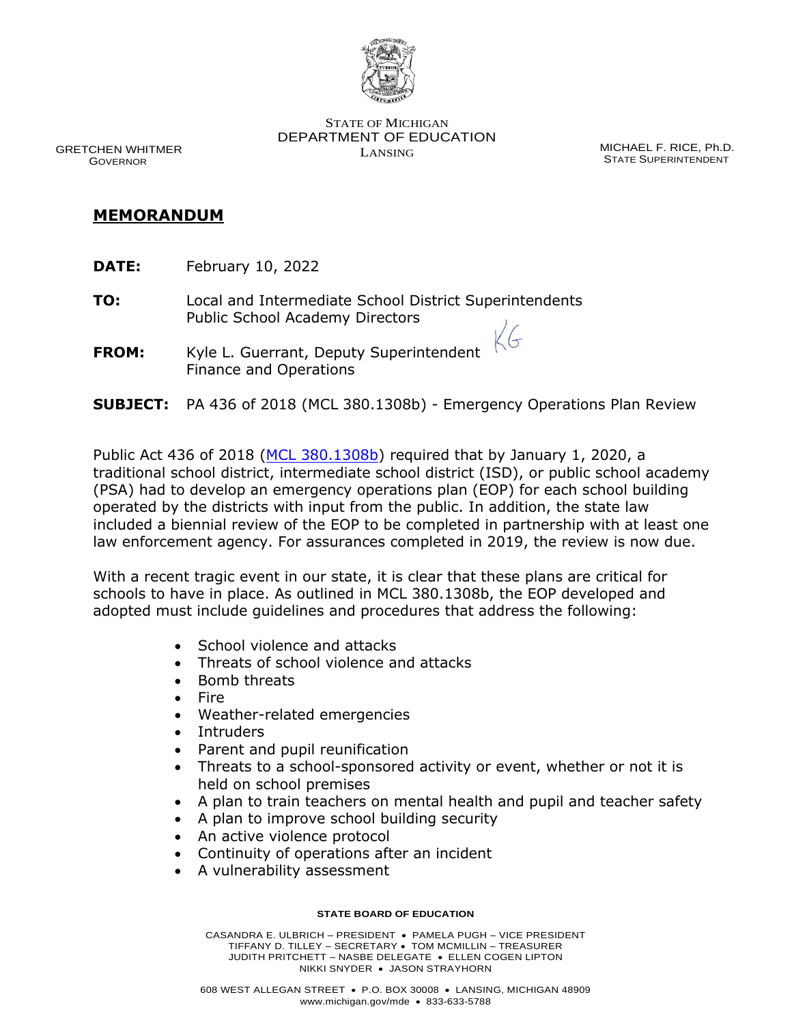

 GRETCHEN WHITMER GOVERNOR

STATE OF MICHIGAN DEPARTMENT OF EDUCATION LANSING MICHAEL F. RICE, Ph.D.

STATE SUPERINTENDENT

## **MEMORANDUM**

- **DATE:** February 10, 2022
- **TO:** Local and Intermediate School District Superintendents Public School Academy Directors
- **FROM:** Kyle L. Guerrant, Deputy Superintendent Finance and Operations
- **SUBJECT:** PA 436 of 2018 (MCL 380.1308b) Emergency Operations Plan Review

 $\left($ 

Public Act 436 of 2018 [\(MCL 380.1308b\)](https://www.legislature.mi.gov/(S(qph1vtrea4ckwf2ph2z1s44r))/mileg.aspx?page=GetObject&objectname=mcl-380-1308b) required that by January 1, 2020, a traditional school district, intermediate school district (ISD), or public school academy (PSA) had to develop an emergency operations plan (EOP) for each school building operated by the districts with input from the public. In addition, the state law included a biennial review of the EOP to be completed in partnership with at least one law enforcement agency. For assurances completed in 2019, the review is now due.

With a recent tragic event in our state, it is clear that these plans are critical for schools to have in place. As outlined in MCL 380.1308b, the EOP developed and adopted must include guidelines and procedures that address the following:

- School violence and attacks
- Threats of school violence and attacks
- Bomb threats
- Fire
- Weather-related emergencies
- Intruders
- Parent and pupil reunification
- Threats to a school-sponsored activity or event, whether or not it is held on school premises
- A plan to train teachers on mental health and pupil and teacher safety
- A plan to improve school building security
- An active violence protocol
- Continuity of operations after an incident
- A vulnerability assessment

## **STATE BOARD OF EDUCATION**

CASANDRA E. ULBRICH – PRESIDENT • PAMELA PUGH – VICE PRESIDENT TIFFANY D. TILLEY – SECRETARY • TOM MCMILLIN – TREASURER JUDITH PRITCHETT – NASBE DELEGATE • ELLEN COGEN LIPTON NIKKI SNYDER • JASON STRAYHORN